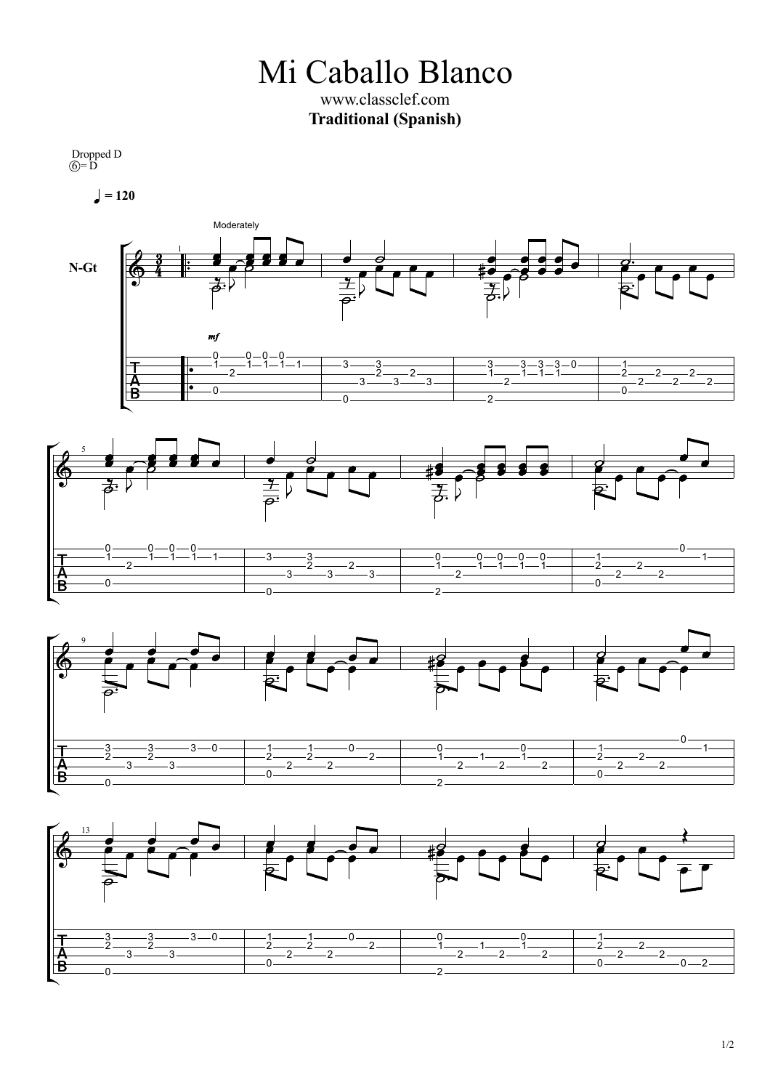Mi Caballo Blanco www.classclef.com **Traditional (Spanish)**

Dropped D  $\widehat{O} = \overline{D}$ 

 $= 120$